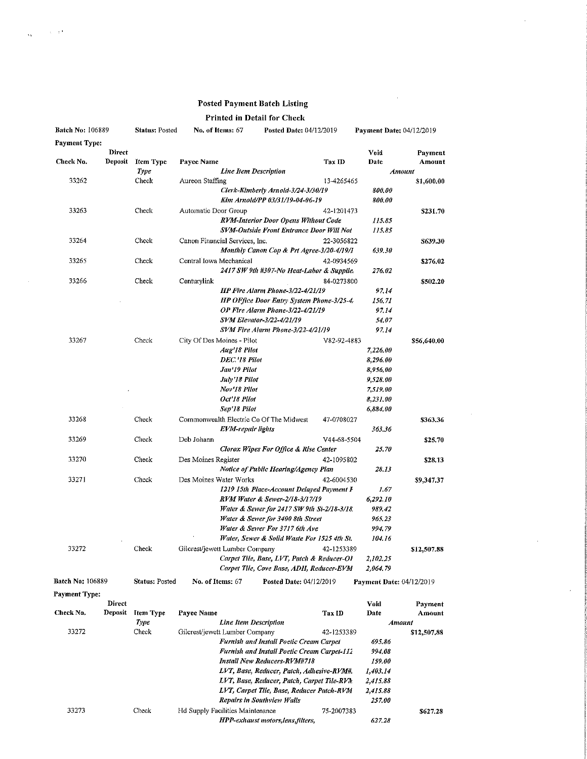## Posted Payment Batch Listing

## Printed in Detail for Check

| Batch No: 106889        |                | <b>Status: Posted</b> | No. of Items: 67               |                              | Posted Date: 04/12/2019                         |             | Payment Date: 04/12/2019 |             |
|-------------------------|----------------|-----------------------|--------------------------------|------------------------------|-------------------------------------------------|-------------|--------------------------|-------------|
| <b>Payment Type:</b>    |                |                       |                                |                              |                                                 |             |                          |             |
|                         | <b>Direct</b>  |                       |                                |                              |                                                 |             | Void                     | Payment     |
| Check No.               | Deposit        | Item Type             | <b>Payee Name</b>              |                              |                                                 | Tax ID      | Date                     | Amount      |
|                         |                | Type                  |                                | <b>Line Item Description</b> |                                                 |             |                          | Amount      |
| 33262                   |                | Check                 | Aureon Staffing                |                              |                                                 | 13-4265465  |                          | \$1,600,00  |
|                         |                |                       |                                |                              | Clerk-Kimberly Arnold-3/24-3/30/19              |             | 800.00                   |             |
|                         |                |                       |                                |                              | Kim Arnold/PP 03/31/19-04-06-19                 |             | 800.00                   |             |
| 33263                   |                | Check                 | Automatic Door Group           |                              |                                                 | 42-1201473  |                          | \$231.70    |
|                         |                |                       |                                |                              | <b>RVM-Interior Door Opens Without Code</b>     |             | 115.85                   |             |
|                         |                |                       |                                |                              | <b>SVM-Outside Front Entrance Door Will Not</b> |             | 115.85                   |             |
| 33264                   |                | Check                 | Canon Financial Services, Inc. |                              |                                                 | 22-3056822  |                          | \$639.30    |
|                         |                |                       |                                |                              | Monthly Canon Cop & Prt Agree-3/20-4/19/1       |             | 639.30                   |             |
| 33265                   |                | Check                 | Central Iowa Mechanical        |                              |                                                 | 42-0934569  |                          | \$276,02    |
|                         |                |                       |                                |                              | 2417 SW 9th #307-No Heat-Labor & Supplie.       |             | 276.02                   |             |
| 33266                   |                | Check                 | Centurylink                    |                              |                                                 | 84-0273800  |                          | \$502.20    |
|                         |                |                       |                                |                              | HP Fire Alarm Phone-3/22-4/21/19                |             | 97.14                    |             |
|                         |                |                       |                                |                              | HP OFfice Door Entry System Phone-3/25-4,       |             | 156,71                   |             |
|                         |                |                       |                                |                              | OP Fire Alarm Phone-3/22-4/21/19                |             | 97.14                    |             |
|                         |                |                       |                                |                              | SVM Elevator-3/22-4/21/19                       |             | 54.07                    |             |
|                         |                |                       |                                |                              | SVM Fire Alarm Phone-3/22-4/21/19               |             | 97.14                    |             |
| 33267                   |                | Check                 | City Of Des Moines - Pilot     |                              |                                                 | V82-92-4883 |                          | \$56,640.00 |
|                         |                |                       |                                | Aug 18 Pilot                 |                                                 |             | 7,226.00                 |             |
|                         |                |                       |                                | <b>DEC.'18 Pilot</b>         |                                                 |             | 8,296.00                 |             |
|                         |                |                       |                                | Jan 19 Pilot                 |                                                 |             | 8,956.00                 |             |
|                         |                |                       |                                | July 18 Pilot                |                                                 |             | 9,528.00                 |             |
|                         |                |                       |                                | Nov 18 Pilot                 |                                                 |             | 7,519.00                 |             |
|                         |                |                       |                                | Oct'18 Pilot                 |                                                 |             | 8,231.00                 |             |
|                         |                |                       |                                | Sep'18 Pilot                 |                                                 |             | 6,884,00                 |             |
| 33268                   |                | Check                 |                                |                              | Commonwealth Electric Co Of The Midwest         | 47-0708027  |                          | \$363.36    |
|                         |                |                       |                                | <b>EVM-repair lights</b>     |                                                 |             | 363,36                   |             |
| 33269                   |                | Check                 | Deb Johann                     |                              |                                                 | V44-68-5504 |                          | \$25.70     |
|                         |                |                       |                                |                              | Clorox Wipes For Office & Rise Center           |             | 25.70                    |             |
| 33270                   |                | Check                 | Des Moines Register            |                              |                                                 | 42-1095802  |                          | \$28,13     |
|                         |                |                       |                                |                              | Notice of Public Hearing/Agency Plan            |             | 28.13                    |             |
| 33271                   |                | Check                 | Des Moines Water Works         |                              |                                                 | 42-6004530  |                          | \$9,347.37  |
|                         |                |                       |                                |                              | 1219 15th Place-Account Delayed Payment F       |             | 1.67                     |             |
|                         |                |                       |                                |                              | RVM Water & Sewer-2/18-3/17/19                  |             | 6,292.10                 |             |
|                         |                |                       |                                |                              | Water & Sewer for 2417 SW 9th St-2/18-3/18.     |             | 989.42                   |             |
|                         |                |                       |                                |                              | Water & Sewer for 3400 8th Street               |             | 965,23                   |             |
|                         |                |                       |                                |                              | Water & Sewer For 3717 6th Ave                  |             | 994,79                   |             |
|                         |                |                       |                                |                              | Water, Sewer & Solid Waste For 1525 4th St.     |             | 104.16                   |             |
| 33272                   |                | Check                 | Gilcrest/jewett Lumber Company |                              |                                                 | 42-1253389  |                          | \$12,507.88 |
|                         |                |                       |                                |                              | Carpet Tile, Base, LVT, Patch & Reducer-OI      |             | 2,102.25                 |             |
|                         |                |                       |                                |                              | Carpet Tile, Cove Base, ADH, Reducer-EVM        |             | 2,064,79                 |             |
| <b>Batch No: 106889</b> |                | Status: Posted        | No. of Items: 67               |                              | Posted Date: 04/12/2019                         |             | Payment Date: 04/12/2019 |             |
| Payment Type:           |                |                       |                                |                              |                                                 |             |                          |             |
|                         | Direct         |                       |                                |                              |                                                 |             | Void                     | Payment     |
| Check No.               | <b>Deposit</b> | Item Type             | <b>Payee Name</b>              |                              |                                                 | Tax ID      | Date                     | Amount      |
|                         |                | $T$ ung               |                                | I ing Itam Docerintian       |                                                 |             |                          | dmount.     |

33272 Type Check 33273 Check Line Item Description Gilcrest/jewett Lumber Company 42-1253389 Furnish and 'Install Poetic Cream Carpel Furnish and Install Poetic Cream Carpet-112 Install New Reducers-RVM#7}8 LVT, Base, Reducer, Patch, Adhesive-RVM#. LVT, Base, Reducer, Patch, Carpet Tile-RV^. LVT, Carpet Tile, Base, Reducer Patch-RVM Repairs in Soufhview Walls Hd Supply Facilities Maintenance 75-2007383 HPP-exhaust motors, lens, filters, Amount 695,86  $994.08$ 159.00 1,403.14 2,415.88 2,415.88 \$12,507.88 257.00 627.2S S627.2S

 $\bar{z}$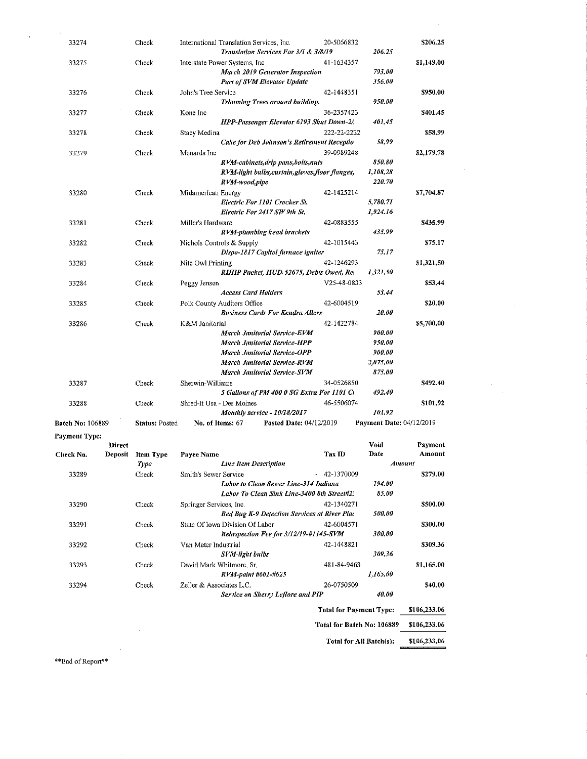| Check No.                                       | Deposit | <b>Item Type</b><br>Type | <b>Payee Name</b>         | <b>Line Item Description</b>             |                                                              | Tax ID      | Date                     | Amount<br>Amount |
|-------------------------------------------------|---------|--------------------------|---------------------------|------------------------------------------|--------------------------------------------------------------|-------------|--------------------------|------------------|
|                                                 | Direct  |                          |                           |                                          |                                                              |             | Void                     | Payment          |
| <b>Batch No: 106889</b><br><b>Payment Type:</b> |         | Status: Posted           | No. of Items: 67          |                                          |                                                              |             | Payment Date: 04/12/2019 |                  |
|                                                 |         |                          |                           |                                          | Monthly service - 10/18/2017<br>Posted Date: 04/12/2019      |             | 101.92                   |                  |
| 33288                                           |         | Check                    | Shred-It Usa - Des Moines |                                          |                                                              | 46-5506074  |                          | \$101.92         |
|                                                 |         |                          |                           |                                          | 5 Gallons of PM 400 0 SG Extra For 1101 Ci                   |             | 492,40                   |                  |
| 33287                                           |         | Check                    | Sherwin-Williams          |                                          |                                                              | 34-0526850  |                          | \$492.40         |
|                                                 |         |                          |                           |                                          | March Janitorial Service-SVM                                 |             | 875.00                   |                  |
|                                                 |         |                          |                           |                                          | March Janitorial Service-RVM                                 |             | 2.075.00                 |                  |
|                                                 |         |                          |                           |                                          | March Janitorial Service-OPP                                 |             | 900.00                   |                  |
|                                                 |         |                          |                           |                                          | March Janitorial Service-EVM<br>March Janitorial Service-HPP |             | 900.00<br>950.00         |                  |
| 33286                                           |         | Check                    | K&M Janitorial            |                                          |                                                              | 42-1422784  |                          | \$5,700.00       |
|                                                 |         |                          |                           |                                          | <b>Business Cards For Kendra Allers</b>                      |             | <i>20.00</i>             |                  |
| 33285                                           |         | Check                    |                           | Polk County Auditors Office              |                                                              | 42-6004519  |                          | \$20.00          |
|                                                 |         |                          |                           | <b>Access Card Holders</b>               |                                                              |             | 53.44                    |                  |
| 33284                                           |         | Check                    | Peggy Jensen              |                                          |                                                              | V25-48-0833 |                          | \$53,44          |
|                                                 |         |                          |                           |                                          | RHIIP Packet, HUD-52675, Debts Owed, Rei                     |             | 1.321.50                 |                  |
| 33283                                           |         | Check                    | Nite Owl Printing         |                                          |                                                              | 42-1246293  |                          | \$1,321,50       |
|                                                 |         |                          |                           |                                          | Dispo-1817 Capitol furnace igniter                           |             | 75,17                    |                  |
| 33282                                           |         | Check                    | Nichols Controls & Supply |                                          |                                                              | 42-1015443  |                          | \$75.17          |
| 33281                                           |         | Check                    | Miller's Hardware         |                                          | <b>RVM-plumbing head brackets</b>                            | 42-0883555  | 435.99                   | \$435.99         |
|                                                 |         |                          |                           |                                          | Electric For 2417 SW 9th St.                                 |             | 1,924.16                 |                  |
|                                                 |         |                          |                           |                                          | Electric For 1101 Crocker St.                                |             | 5,780.71                 |                  |
| 33280                                           |         | Check                    | Midamerican Energy        |                                          |                                                              | 42-1425214  |                          | \$7,704.87       |
|                                                 |         |                          |                           | RVM-wood,pipe                            |                                                              |             | 220.70                   |                  |
|                                                 |         |                          |                           |                                          | RVM-light bulbs,curtain,gloves,floor flanges,                |             | 1.108.28                 |                  |
|                                                 |         |                          |                           |                                          | RVM-cabinets, drip pans, bolts, nuts                         |             | 850.80                   |                  |
| 33279                                           |         | Check                    | Menards Inc.              |                                          |                                                              | 39-0989248  |                          | \$2,179.78       |
|                                                 |         |                          |                           |                                          | Cake for Deb Johnson's Retirement Receptio                   |             | 58.99                    |                  |
| 33278                                           |         | Check                    | Stacy Medina              |                                          |                                                              | 222-22-2222 |                          | \$58.99          |
| 33277                                           |         | Check                    | Kone Inc                  |                                          | HPP-Passenger Elevator 6193 Shut Down-2/.                    | 36-2357423  | 401.45                   | \$401.45         |
|                                                 |         |                          |                           |                                          | Trimming Trees around building.                              |             | 950.00                   |                  |
| 33276                                           |         | Check                    | John's Tree Service       |                                          |                                                              | 42-1448351  |                          | \$950.00         |
|                                                 |         |                          |                           |                                          | Part of SVM Elevator Update                                  |             | 356.00                   |                  |
|                                                 |         |                          |                           |                                          | March 2019 Generator Inspection                              |             | 793.00                   |                  |
| 33275                                           |         | Check                    |                           | Interstate Power Systems, Inc.           |                                                              | 41-1634357  |                          | \$1,149,00       |
|                                                 |         |                          |                           |                                          | Translation Services For 3/1 & 3/8/19                        |             | 206.25                   |                  |
| 33274                                           |         | Check                    |                           | International Translation Services, Inc. |                                                              | 20-5066832  |                          | \$206.25         |

 $\mathcal{A}^{\mathcal{A}}$ 

 $\sim$   $\sim$ 

 $\frac{1}{\sqrt{2}}\sum_{i=1}^{n} \frac{1}{\sqrt{2}}\left(\frac{1}{\sqrt{2}}\right)^2\left(\frac{1}{\sqrt{2}}\right)^2$ 

|              |          | .                              | <b>1 a to 11000</b>                                 | 10011 1700 | <b>Depart</b> | <b>CHLCR.10.</b> |
|--------------|----------|--------------------------------|-----------------------------------------------------|------------|---------------|------------------|
| Amount       |          |                                | <b>Line Item Description</b>                        | Type       |               |                  |
| \$279.00     |          | 42-1370009                     | Smith's Sewer Service                               | Check      |               | 33289            |
|              | 194.00   |                                | Labor to Clean Sewer Line-314 Indiana               |            |               |                  |
|              | 85.00    |                                | Labor To Clean Sink Line-3400 8th Street#2.         |            |               |                  |
| \$500.00     |          | 42-1340271                     | Springer Services, Inc.                             | Check      |               | 33290            |
|              | 500,00   |                                | <b>Bed Bug K-9 Detection Services at River Plac</b> |            |               |                  |
| \$300.00     |          | 42-6004571                     | State Of Iowa Division Of Labor                     | Check      |               | 33291            |
|              | 300.00   |                                | Reinspection Fee for 3/12/19-#1145-SVM              |            |               |                  |
| \$309.36     |          | 42-1448821                     | Van Meter Industrial                                | Check      |               | 33292            |
|              | 309.36   |                                | SVM-light bulbs                                     |            |               |                  |
| \$1,165.00   |          | 481-84-9463                    | David Mark Whitmore, Sr.                            | Check      |               | 33293            |
|              | 1 165.00 |                                | RVM-paint #601-#625                                 |            |               |                  |
| \$40.00      |          | 26-0750509                     | Zeller & Associates L.C.                            | Check      |               | 33294            |
|              | 40.00    |                                | Service on Sherry Leflore and PIP                   |            |               |                  |
| \$106,233,06 |          | <b>Total for Payment Type:</b> |                                                     |            |               |                  |
| \$106,233.06 |          | Total for Batch No: 106889     |                                                     |            |               |                  |
| \$106.233.06 |          | Total for All Batch(s):        |                                                     |            |               |                  |
|              |          |                                |                                                     |            |               |                  |

 $\mathrm{**}\mathrm{End}$  of Report<br>\*\*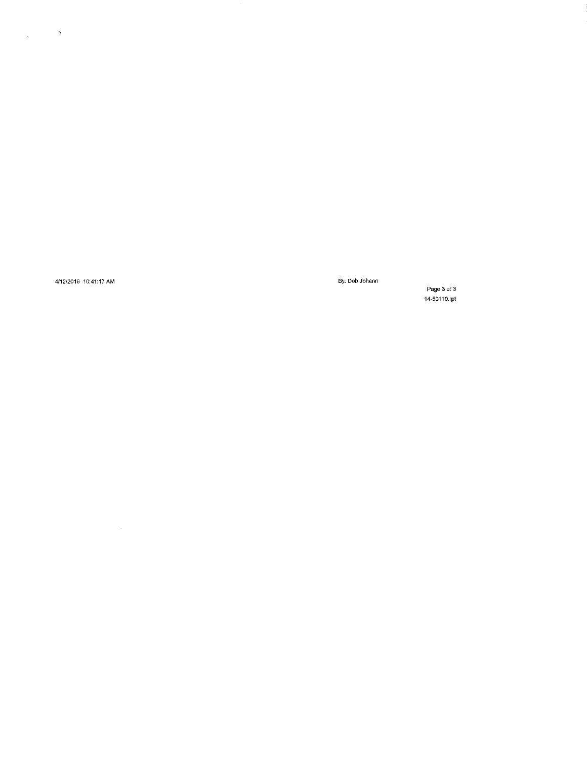$\label{eq:1} \frac{\partial \mathbf{q}}{\partial \mathbf{q}} = \frac{\partial \mathbf{q}}{\partial \mathbf{q}} \left( \frac{\partial \mathbf{q}}{\partial \mathbf{q}} \right) = \frac{\partial \mathbf{q}}{\partial \mathbf{q}} \left( \frac{\partial \mathbf{q}}{\partial \mathbf{q}} \right)$ 

4/12/2019 10:41:17 AM By:DebJohann

Page 3 of 3 14.50110.rpt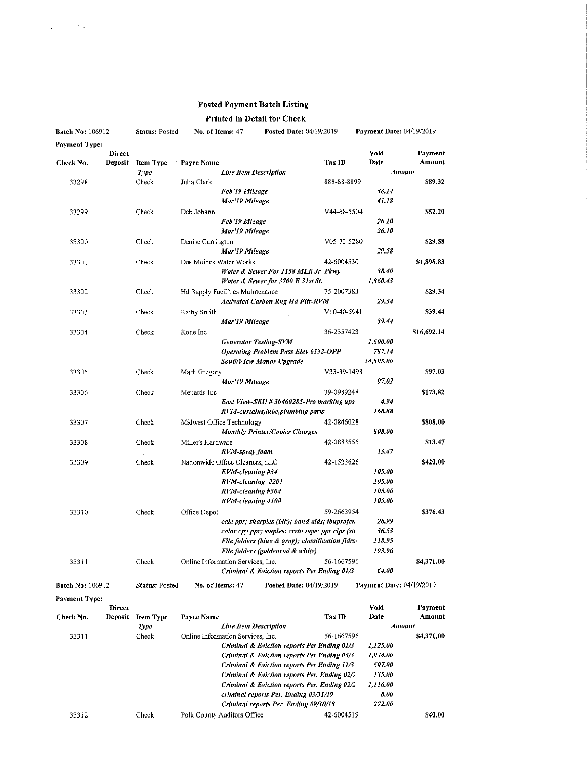## Posted Payment Batch Listing

## Printed in Detail for Check

| <b>Batch No: 106912</b>        |               | <b>Status: Posted</b> | No. of Items: 47                  |                              | Posted Date: 04/19/2019                          |             | Payment Date: 04/19/2019 |                          |
|--------------------------------|---------------|-----------------------|-----------------------------------|------------------------------|--------------------------------------------------|-------------|--------------------------|--------------------------|
| Payment Type:<br><b>Direct</b> |               |                       |                                   |                              |                                                  |             | Void                     | Payment                  |
| Check No.                      | Deposit       | <b>Item Type</b>      | <b>Payee Name</b>                 |                              |                                                  | Tax ID      | Date                     | Amount                   |
|                                |               | Type<br>Check         | Julia Clark                       | <b>Line Item Description</b> |                                                  | 888-88-8899 |                          | Amount<br>\$89,32        |
| 33298                          |               |                       |                                   | Feb 19 Mileage               |                                                  |             | 48.14                    |                          |
|                                |               |                       |                                   | Mar'19 Mileage               |                                                  |             | 41.18                    |                          |
| 33299                          |               | Check                 | Deb Johann                        |                              |                                                  | V44-68-5504 |                          | \$52.20                  |
|                                |               |                       |                                   | Feb 19 Mleage                |                                                  |             | 26.10                    |                          |
|                                |               |                       |                                   | Mar'19 Mileage               |                                                  |             | 26.10                    |                          |
| 33300                          |               | Check                 | Denise Carrington                 |                              |                                                  | V05-73-5280 |                          | \$29.58                  |
|                                |               |                       |                                   | Mar'19 Mileage               |                                                  |             | 29,58                    |                          |
| 33301                          |               | Check                 | Des Moines Water Works            |                              |                                                  | 42-6004530  |                          | \$1,898.83               |
|                                |               |                       |                                   |                              | Water & Sewer For 1158 MLK Jr. Pkwy              |             | 38.40                    |                          |
|                                |               |                       |                                   |                              | Water & Sewer for 3700 E 31st St.                |             | 1,860.43                 |                          |
| 33302                          |               | Check                 | Hd Supply Facilities Maintenance  |                              |                                                  | 75-2007383  |                          | \$29.34                  |
|                                |               |                       |                                   |                              | <b>Activated Carbon Rng Hd Fltr-RVM</b>          |             | 29.34                    |                          |
| 33303                          |               | Check                 | Kathy Smith                       |                              |                                                  | V10-40-5941 |                          | \$39.44                  |
|                                |               |                       |                                   | Mar'19 Mileage               |                                                  |             | 39.44                    |                          |
| 33304                          |               | Check                 | Kone Inc                          |                              |                                                  | 36-2357423  |                          | \$16,692.14              |
|                                |               |                       |                                   |                              | <b>Generator Testing-SVM</b>                     |             | 1,600.00                 |                          |
|                                |               |                       |                                   |                              | <b>Operating Problem Pass Elev 6192-OPP</b>      |             | 787.14                   |                          |
|                                |               |                       |                                   |                              | SouthVIew Manor Upgrade                          |             | 14,305.00                |                          |
| 33305                          |               | Check                 | Mark Gregory                      |                              |                                                  | V33-39-1498 |                          | \$97.03                  |
|                                |               |                       |                                   | Mar'19 Mileage               |                                                  |             | 97.03                    |                          |
| 33306                          |               | Check                 | Menards Inc                       |                              |                                                  | 39-0989248  |                          | \$173,82                 |
|                                |               |                       |                                   |                              | East View-SKU # 30460285-Pro marking ups         |             | 4.94<br>168.88           |                          |
|                                |               |                       |                                   |                              | RVM-curtains,lube,plumbing parts                 |             |                          |                          |
| 33307                          |               | Check                 | Midwest Office Technology         |                              | <b>Monthly Printer/Copier Charges</b>            | 42-0846028  | 808.00                   | \$808.00                 |
| 33308                          |               | Check                 | Miller's Hardware                 |                              |                                                  | 42-0883555  |                          | \$13.47                  |
|                                |               |                       |                                   | RVM-spray foam               |                                                  |             | 13.47                    |                          |
| 33309                          |               | Check                 | Nationwide Office Cleaners, LLC   |                              |                                                  | 42-1523626  |                          | \$420.00                 |
|                                |               |                       |                                   | EVM-cleaning #34             |                                                  |             | 105.00                   |                          |
|                                |               |                       |                                   | RVM-cleaning #201            |                                                  |             | 105,00                   |                          |
|                                |               |                       |                                   | RVM-cleaning #304            |                                                  |             | 105,00                   |                          |
|                                |               |                       |                                   | RVM-cleaning 410#            |                                                  |             | <i>105.00</i>            |                          |
| 33310                          |               | Check                 | Office Depot                      |                              |                                                  | 59-2663954  |                          | \$376.43                 |
|                                |               |                       |                                   |                              | calc ppr; sharpies (blk); band-alds; ibuprofer.  |             | 26,99                    |                          |
|                                |               |                       |                                   |                              | color cpy ppr; staples; crrtn tape; ppr clps (sn |             | 36.53                    |                          |
|                                |               |                       |                                   |                              | File folders (blue & gray); classification fidrs |             | 118.95                   |                          |
|                                |               |                       |                                   |                              | File folders (goldenrod & white)                 |             | 193,96                   |                          |
| 33311                          |               | Check                 | Online Information Services, Inc. |                              |                                                  | 56-1667596  |                          | \$4,371.00               |
|                                |               |                       |                                   |                              | Criminal & Eviction reports Per Ending 01/3      |             | 64.00                    |                          |
| <b>Batch No: 106912</b>        |               | <b>Status: Posted</b> | No. of Items: 47                  |                              | Posted Date: 04/19/2019                          |             |                          | Payment Date: 04/19/2019 |
| Payment Type:                  |               |                       |                                   |                              |                                                  |             |                          |                          |
|                                | <b>Direct</b> |                       |                                   |                              |                                                  |             | Void                     | Payment                  |
| Check No.                      |               | Deposit Item Type     | Payee Name                        |                              |                                                  | Tax ID      | Date                     | Amount                   |
|                                |               | Type                  |                                   | Line Item Description        |                                                  |             |                          | Amount                   |
| 33311                          |               | Check                 | Online Information Services, Inc. |                              |                                                  | 56-1667596  |                          | \$4,371.00               |
|                                |               |                       |                                   |                              | Criminal & Eviction reports Per Ending 01/3      |             | 1,125.00                 |                          |
|                                |               |                       |                                   |                              | Criminal & Eviction reports Per Ending 03/3      |             | 1,044.00                 |                          |

Criminal & Eviction reports Per Ending ] 1/3 Criminal & Eviction reports Per. Ending 92/1 Criminal & Eviction reports Per, Ending 02^ criminal reports Per. Ending 63/31/19 Criminal reports Per, Ending 09/30/18

Check Polk County Auditors Office 42-6004519

33312

 $\frac{1}{2}$  ,  $\frac{1}{2}$  ,  $\frac{1}{2}$  ,  $\frac{1}{2}$ 

607.00  $135.00$ 1,116.00 S.06 272.00